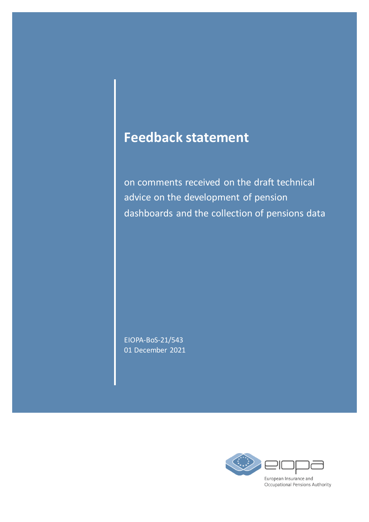# **Feedback statement**

on comments received on the draft technical advice on the development of pension dashboards and the collection of pensions data

EIOPA-BoS-21/543 01 December 2021

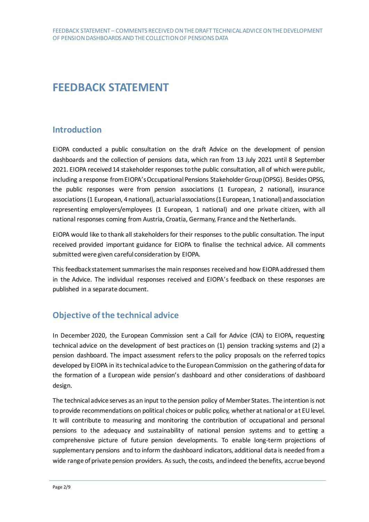## **FEEDBACK STATEMENT**

## **Introduction**

EIOPA conducted a public consultation on the draft Advice on the development of pension dashboards and the collection of pensions data, which ran from 13 July 2021 until 8 September 2021. EIOPA received 14 stakeholder responses to the public consultation, all of which were public, including a response from EIOPA's Occupational Pensions Stakeholder Group (OPSG). Besides OPSG, the public responses were from pension associations (1 European, 2 national), insurance associations (1 European, 4 national), actuarial associations (1 European, 1 national) and association representing employers/employees (1 European, 1 national) and one private citizen, with all national responses coming from Austria, Croatia, Germany, France and the Netherlands.

EIOPA would like to thank all stakeholders for their responses to the public consultation. The input received provided important guidance for EIOPA to finalise the technical advice. All comments submitted were given careful consideration by EIOPA.

This feedback statement summarises the main responses received and how EIOPA addressed them in the Advice. The individual responses received and EIOPA's feedback on these responses are published in a separate document.

## **Objective of the technical advice**

In December 2020, the European Commission sent a Call for Advice (CfA) to EIOPA, requesting technical advice on the development of best practices on (1) pension tracking systems and (2) a pension dashboard. The impact assessment refers to the policy proposals on the referred topics developed by EIOPA in its technical advice to the European Commission on the gathering of data for the formation of a European wide pension's dashboard and other considerations of dashboard design.

The technical advice serves as an input to the pension policy of Member States. The intention is not to provide recommendations on political choices or public policy, whether at national or at EU level. It will contribute to measuring and monitoring the contribution of occupational and personal pensions to the adequacy and sustainability of national pension systems and to getting a comprehensive picture of future pension developments. To enable long-term projections of supplementary pensions and to inform the dashboard indicators, additional data is needed from a wide range of private pension providers. As such, the costs, and indeed the benefits, accrue beyond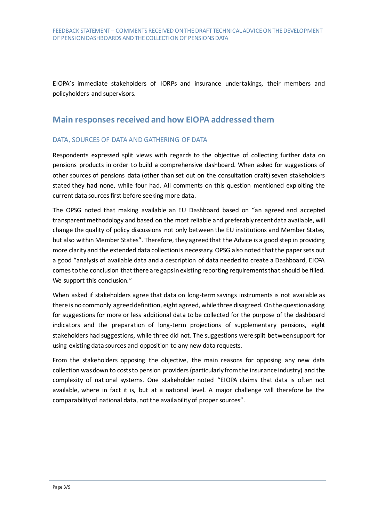EIOPA's immediate stakeholders of IORPs and insurance undertakings, their members and policyholders and supervisors.

## **Main responses received and how EIOPA addressed them**

#### DATA, SOURCES OF DATA AND GATHERING OF DATA

Respondents expressed split views with regards to the objective of collecting further data on pensions products in order to build a comprehensive dashboard. When asked for suggestions of other sources of pensions data (other than set out on the consultation draft) seven stakeholders stated they had none, while four had. All comments on this question mentioned exploiting the current data sources first before seeking more data.

The OPSG noted that making available an EU Dashboard based on "an agreed and accepted transparent methodology and based on the most reliable and preferably recent data available, will change the quality of policy discussions not only between the EU institutions and Member States, but also within Member States". Therefore, they agreed that the Advice is a good step in providing more clarity and the extended data collection is necessary. OPSG also noted that the paper sets out a good "analysis of available data and a description of data needed to create a Dashboard, EIOPA comes to the conclusion that there are gaps in existing reporting requirements that should be filled. We support this conclusion."

When asked if stakeholders agree that data on long-term savings instruments is not available as there is no commonly agreed definition, eight agreed, while three disagreed. On the question asking for suggestions for more or less additional data to be collected for the purpose of the dashboard indicators and the preparation of long-term projections of supplementary pensions, eight stakeholders had suggestions, while three did not. The suggestions were split between support for using existing data sources and opposition to any new data requests.

From the stakeholders opposing the objective, the main reasons for opposing any new data collection was down to costs to pension providers (particularly from the insurance industry) and the complexity of national systems. One stakeholder noted "EIOPA claims that data is often not available, where in fact it is, but at a national level. A major challenge will therefore be the comparability of national data, not the availability of proper sources".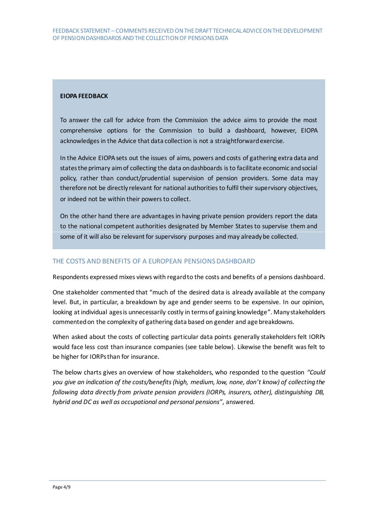#### **EIOPA FEEDBACK**

To answer the call for advice from the Commission the advice aims to provide the most comprehensive options for the Commission to build a dashboard, however, EIOPA acknowledges in the Advice that data collection is not a straightforward exercise.

In the Advice EIOPA sets out the issues of aims, powers and costs of gathering extra data and states the primary aim of collecting the data on dashboards is to facilitate economic and social policy, rather than conduct/prudential supervision of pension providers. Some data may therefore not be directly relevant for national authorities to fulfil their supervisory objectives, or indeed not be within their powers to collect.

On the other hand there are advantages in having private pension providers report the data to the national competent authorities designated by Member States to supervise them and some of it will also be relevant for supervisory purposes and may already be collected.

#### THE COSTS AND BENEFITS OF A EUROPEAN PENSIONS DASHBOARD

Respondents expressed mixes views with regard to the costs and benefits of a pensions dashboard.

One stakeholder commented that "much of the desired data is already available at the company level. But, in particular, a breakdown by age and gender seems to be expensive. In our opinion, looking at individual ages is unnecessarily costly in terms of gaining knowledge". Many stakeholders commented on the complexity of gathering data based on gender and age breakdowns.

When asked about the costs of collecting particular data points generally stakeholders felt IORPs would face less cost than insurance companies (see table below). Likewise the benefit was felt to be higher for IORPs than for insurance.

The below charts gives an overview of how stakeholders, who responded to the question *"Could you give an indication of the costs/benefits(high, medium, low, none, don't know) of collecting the following data directly from private pension providers (IORPs, insurers, other), distinguishing DB, hybrid and DC as well as occupational and personal pensions"*, answered.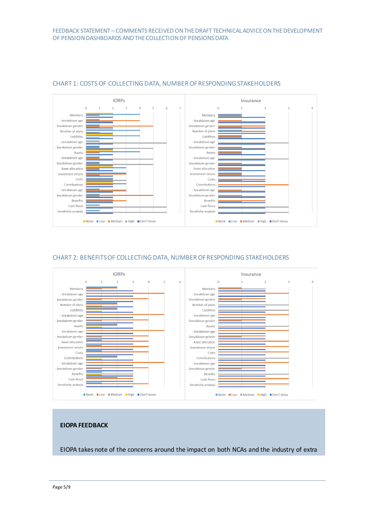

#### CHART 1: COSTS OF COLLECTING DATA, NUMBER OF RESPONDING STAKEHOLDERS

#### CHART 2: BENEFITS OF COLLECTING DATA, NUMBER OF RESPONDING STAKEHOLDERS



#### **EIOPA FEEDBACK**

EIOPA takes note of the concerns around the impact on both NCAs and the industry of extra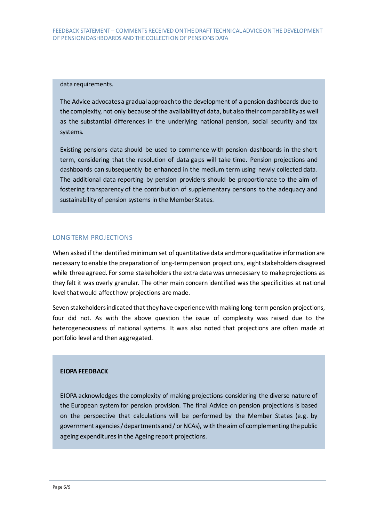#### data requirements.

The Advice advocates a gradual approach to the development of a pension dashboards due to the complexity, not only because of the availability of data, but also their comparability as well as the substantial differences in the underlying national pension, social security and tax systems.

Existing pensions data should be used to commence with pension dashboards in the short term, considering that the resolution of data gaps will take time. Pension projections and dashboards can subsequently be enhanced in the medium term using newly collected data. The additional data reporting by pension providers should be proportionate to the aim of fostering transparency of the contribution of supplementary pensions to the adequacy and sustainability of pension systems in the Member States.

#### LONG TERM PROJECTIONS

When asked if the identified minimum set of quantitative data and more qualitative information are necessary to enable the preparation of long-term pension projections, eight stakeholders disagreed while three agreed. For some stakeholders the extra data was unnecessary to make projections as they felt it was overly granular. The other main concern identified was the specificities at national level that would affect how projections are made.

Seven stakeholders indicated that they have experience with making long-term pension projections, four did not. As with the above question the issue of complexity was raised due to the heterogeneousness of national systems. It was also noted that projections are often made at portfolio level and then aggregated.

#### **EIOPA FEEDBACK**

EIOPA acknowledges the complexity of making projections considering the diverse nature of the European system for pension provision. The final Advice on pension projections is based on the perspective that calculations will be performed by the Member States (e.g. by government agencies / departments and / or NCAs), with the aim of complementing the public ageing expenditures in the Ageing report projections.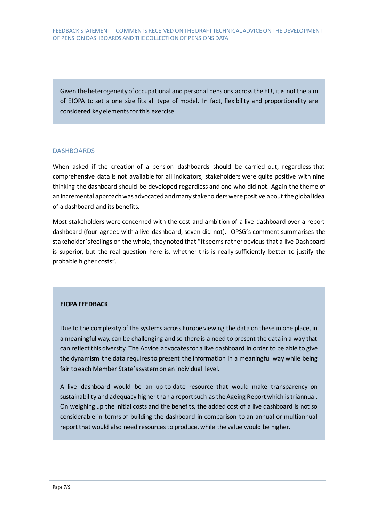Given the heterogeneity of occupational and personal pensions across the EU, it is not the aim of EIOPA to set a one size fits all type of model. In fact, flexibility and proportionality are considered key elements for this exercise.

#### DASHBOARDS

When asked if the creation of a pension dashboards should be carried out, regardless that comprehensive data is not available for all indicators, stakeholders were quite positive with nine thinking the dashboard should be developed regardless and one who did not. Again the theme of an incremental approach was advocated and many stakeholders were positive about the global idea of a dashboard and its benefits.

Most stakeholders were concerned with the cost and ambition of a live dashboard over a report dashboard (four agreed with a live dashboard, seven did not). OPSG's comment summarises the stakeholder's feelings on the whole, they noted that "It seems rather obvious that a live Dashboard is superior, but the real question here is, whether this is really sufficiently better to justify the probable higher costs".

#### **EIOPA FEEDBACK**

Due to the complexity of the systems across Europe viewing the data on these in one place, in a meaningful way, can be challenging and so there is a need to present the data in a way that can reflect this diversity. The Advice advocates for a live dashboard in order to be able to give the dynamism the data requires to present the information in a meaningful way while being fair to each Member State's system on an individual level.

A live dashboard would be an up-to-date resource that would make transparency on sustainability and adequacy higher than a report such as the Ageing Report which is triannual. On weighing up the initial costs and the benefits, the added cost of a live dashboard is not so considerable in terms of building the dashboard in comparison to an annual or multiannual report that would also need resources to produce, while the value would be higher.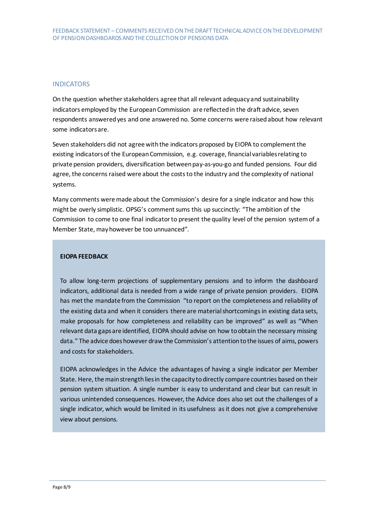#### **INDICATORS**

On the question whether stakeholders agree that all relevant adequacy and sustainability indicators employed by the European Commission are reflected in the draft advice, seven respondents answered yes and one answered no. Some concerns were raised about how relevant some indicators are.

Seven stakeholders did not agree with the indicators proposed by EIOPA to complement the existing indicators of the European Commission, e.g. coverage, financial variables relating to private pension providers, diversification between pay-as-you-go and funded pensions. Four did agree, the concerns raised were about the costs to the industry and the complexity of national systems.

Many comments were made about the Commission's desire for a single indicator and how this might be overly simplistic. OPSG's comment sums this up succinctly: "The ambition of the Commission to come to one final indicator to present the quality level of the pension system of a Member State, may however be too unnuanced".

#### **EIOPA FEEDBACK**

To allow long-term projections of supplementary pensions and to inform the dashboard indicators, additional data is needed from a wide range of private pension providers. EIOPA has met the mandate from the Commission "to report on the completeness and reliability of the existing data and when it considers there are material shortcomings in existing data sets, make proposals for how completeness and reliability can be improved" as well as "When relevant data gaps are identified, EIOPA should advise on how to obtain the necessary missing data." The advice does however draw the Commission's attention to the issues of aims, powers and costs for stakeholders.

EIOPA acknowledges in the Advice the advantages of having a single indicator per Member State. Here, the main strength lies in the capacity to directly compare countries based on their pension system situation. A single number is easy to understand and clear but can result in various unintended consequences. However, the Advice does also set out the challenges of a single indicator, which would be limited in its usefulness as it does not give a comprehensive view about pensions.